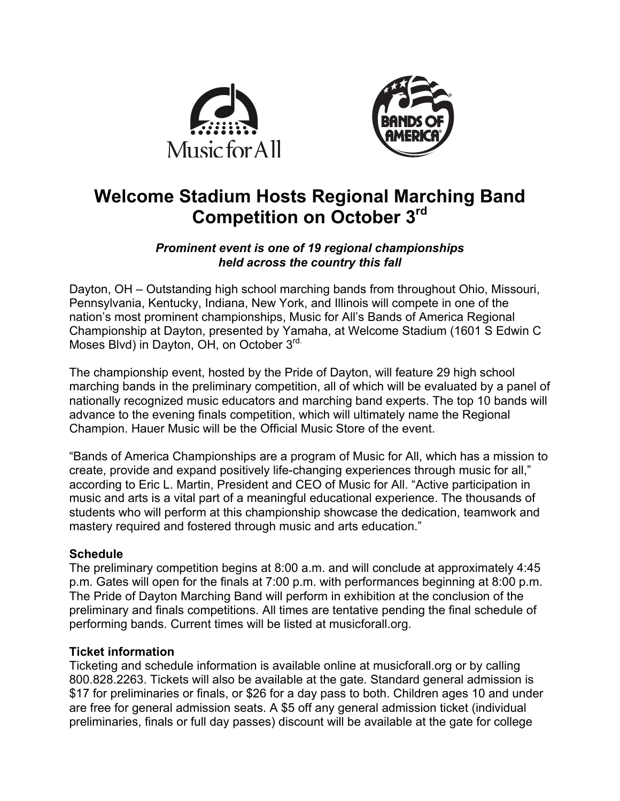



# **Welcome Stadium Hosts Regional Marching Band Competition on October 3rd**

### *Prominent event is one of 19 regional championships held across the country this fall*

Dayton, OH – Outstanding high school marching bands from throughout Ohio, Missouri, Pennsylvania, Kentucky, Indiana, New York, and Illinois will compete in one of the nation's most prominent championships, Music for All's Bands of America Regional Championship at Dayton, presented by Yamaha, at Welcome Stadium (1601 S Edwin C Moses Blvd) in Dayton, OH, on October 3rd.

The championship event, hosted by the Pride of Dayton, will feature 29 high school marching bands in the preliminary competition, all of which will be evaluated by a panel of nationally recognized music educators and marching band experts. The top 10 bands will advance to the evening finals competition, which will ultimately name the Regional Champion. Hauer Music will be the Official Music Store of the event.

"Bands of America Championships are a program of Music for All, which has a mission to create, provide and expand positively life-changing experiences through music for all," according to Eric L. Martin, President and CEO of Music for All. "Active participation in music and arts is a vital part of a meaningful educational experience. The thousands of students who will perform at this championship showcase the dedication, teamwork and mastery required and fostered through music and arts education."

### **Schedule**

The preliminary competition begins at 8:00 a.m. and will conclude at approximately 4:45 p.m. Gates will open for the finals at 7:00 p.m. with performances beginning at 8:00 p.m. The Pride of Dayton Marching Band will perform in exhibition at the conclusion of the preliminary and finals competitions. All times are tentative pending the final schedule of performing bands. Current times will be listed at musicforall.org.

### **Ticket information**

Ticketing and schedule information is available online at musicforall.org or by calling 800.828.2263. Tickets will also be available at the gate. Standard general admission is \$17 for preliminaries or finals, or \$26 for a day pass to both. Children ages 10 and under are free for general admission seats. A \$5 off any general admission ticket (individual preliminaries, finals or full day passes) discount will be available at the gate for college